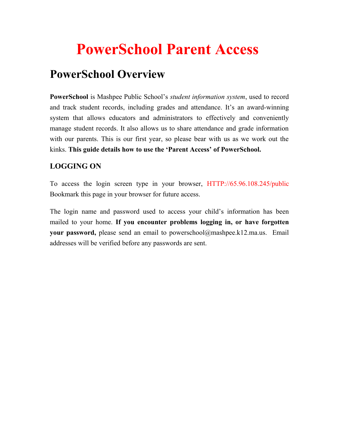## **PowerSchool Parent Access**

### **PowerSchool Overview**

**PowerSchool** is Mashpee Public School's *student information system*, used to record and track student records, including grades and attendance. It's an award-winning system that allows educators and administrators to effectively and conveniently manage student records. It also allows us to share attendance and grade information with our parents. This is our first year, so please bear with us as we work out the kinks. **This guide details how to use the 'Parent Access' of PowerSchool.**

#### **LOGGING ON**

To access the login screen type in your browser, HTTP://65.96.108.245/public Bookmark this page in your browser for future access.

The login name and password used to access your child's information has been mailed to your home. **If you encounter problems logging in, or have forgotten your password,** please send an email to powerschool@mashpee.k12.ma.us. Email addresses will be verified before any passwords are sent.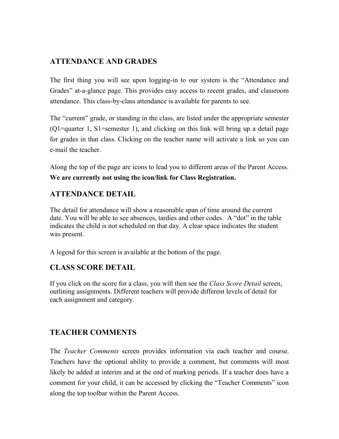#### **ATTENDANCE AND GRADES**

The first thing you will see upon logging-in to our system is the "Attendance and Grades" at-a-glance page. This provides easy access to recent grades, and classroom attendance. This class-by-class attendance is available for parents to see.

The "current" grade, or standing in the class, are listed under the appropriate semester (Q1=quarter 1, S1=semester 1), and clicking on this link will bring up a detail page for grades in that class. Clicking on the teacher name will activate a link so you can e-mail the teacher.

Along the top of the page are icons to lead you to different areas of the Parent Access. **We are currently not using the icon/link for Class Registration.**

#### **ATTENDANCE DETAIL**

The detail for attendance will show a reasonable span of time around the current date. You will be able to see absences, tardies and other codes. A "dot" in the table indicates the child is not scheduled on that day. A clear space indicates the student was present.

A legend for this screen is available at the bottom of the page.

#### **CLASS SCORE DETAIL**

If you click on the score for a class, you will then see the *Class Score Detail* screen, outlining assignments. Different teachers will provide different levels of detail for each assignment and category.

#### **TEACHER COMMENTS**

The *Teacher Comments* screen provides information via each teacher and course. Teachers have the optional ability to provide a comment, but comments will most likely be added at interim and at the end of marking periods. If a teacher does have a comment for your child, it can be accessed by clicking the "Teacher Comments" icon along the top toolbar within the Parent Access.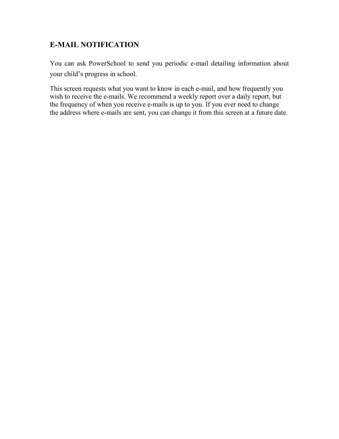#### **E-MAIL NOTIFICATION**

You can ask PowerSchool to send you periodic e-mail detailing information about your child's progress in school.

This screen requests what you want to know in each e-mail, and how frequently you wish to receive the e-mails. We recommend a weekly report over a daily report, but the frequency of when you receive e-mails is up to you. If you ever need to change the address where e-mails are sent, you can change it from this screen at a future date.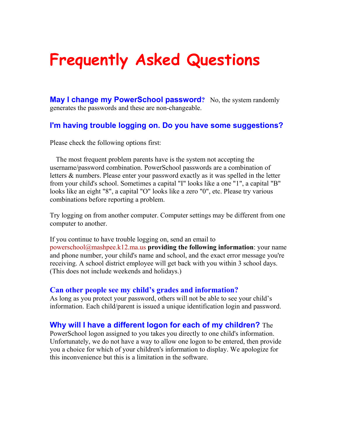# **Frequently Asked Questions**

**May I change my PowerSchool password?** No, the system randomly generates the passwords and these are non-changeable.

#### **I'm having trouble logging on. Do you have some suggestions?**

Please check the following options first:

The most frequent problem parents have is the system not accepting the username/password combination. PowerSchool passwords are a combination of letters & numbers. Please enter your password exactly as it was spelled in the letter from your child's school. Sometimes a capital "I" looks like a one "1", a capital "B" looks like an eight "8", a capital "O" looks like a zero "0", etc. Please try various combinations before reporting a problem.

Try logging on from another computer. Computer settings may be different from one computer to another.

If you continue to have trouble logging on, send an email to [powerschool@mashpee.k12.ma.us](mailto:powerschool@mashpee.k12.ma.us) **providing the following information**: your name and phone number, your child's name and school, and the exact error message you're receiving. A school district employee will get back with you within 3 school days. (This does not include weekends and holidays.)

#### **Can other people see my child's grades and information?**

As long as you protect your password, others will not be able to see your child's information. Each child/parent is issued a unique identification login and password.

#### **Why will I have a different logon for each of my children?** The

PowerSchool logon assigned to you takes you directly to one child's information. Unfortunately, we do not have a way to allow one logon to be entered, then provide you a choice for which of your children's information to display. We apologize for this inconvenience but this is a limitation in the software.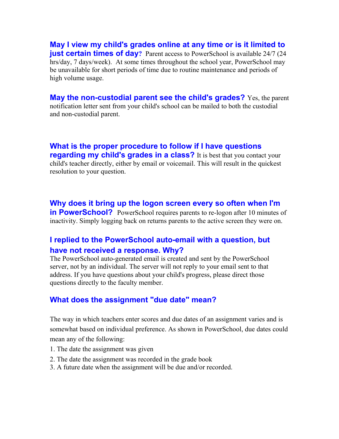**May I view my child's grades online at any time or is it limited to just certain times of day**? Parent access to PowerSchool is available 24/7 (24) hrs/day, 7 days/week). At some times throughout the school year, PowerSchool may be unavailable for short periods of time due to routine maintenance and periods of high volume usage.

**May the non-custodial parent see the child's grades?** Yes, the parent notification letter sent from your child's school can be mailed to both the custodial and non-custodial parent.

**What is the proper procedure to follow if I have questions regarding my child's grades in a class?** It is best that you contact your child's teacher directly, either by email or voicemail. This will result in the quickest resolution to your question.

**Why does it bring up the logon screen every so often when I'm in PowerSchool?** PowerSchool requires parents to re-logon after 10 minutes of inactivity. Simply logging back on returns parents to the active screen they were on.

#### **I replied to the PowerSchool auto-email with a question, but have not received a response. Why?**

The PowerSchool auto-generated email is created and sent by the PowerSchool server, not by an individual. The server will not reply to your email sent to that address. If you have questions about your child's progress, please direct those questions directly to the faculty member.

#### **What does the assignment "due date" mean?**

The way in which teachers enter scores and due dates of an assignment varies and is somewhat based on individual preference. As shown in PowerSchool, due dates could mean any of the following:

- 1. The date the assignment was given
- 2. The date the assignment was recorded in the grade book
- 3. A future date when the assignment will be due and/or recorded.